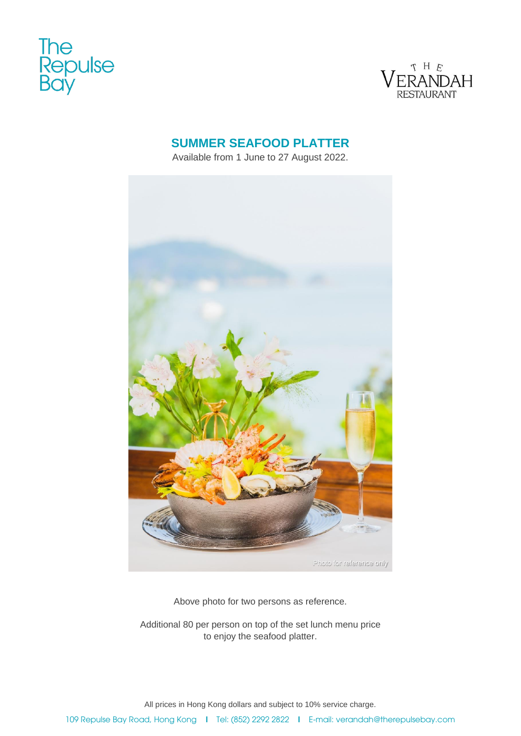



# **SUMMER SEAFOOD PLATTER**

Available from 1 June to 27 August 2022.



Above photo for two persons as reference.

Additional 80 per person on top of the set lunch menu price to enjoy the seafood platter.

All prices in Hong Kong dollars and subject to 10% service charge.

109 Repulse Bay Road, Hong Kong I Tel: (852) 2292 2822 I E-mail: verandah@therepulsebay.com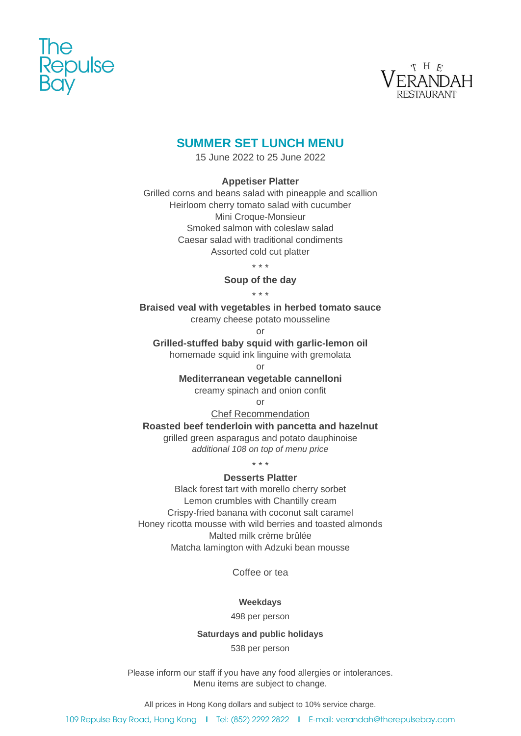



# **SUMMER SET LUNCH MENU**

15 June 2022 to 25 June 2022

### **Appetiser Platter**

Grilled corns and beans salad with pineapple and scallion Heirloom cherry tomato salad with cucumber Mini Croque-Monsieur Smoked salmon with coleslaw salad Caesar salad with traditional condiments Assorted cold cut platter

\* \* \*

**Soup of the day**

\* \* \*

**Braised veal with vegetables in herbed tomato sauce**

creamy cheese potato mousseline

or

**Grilled-stuffed baby squid with garlic-lemon oil** 

homemade squid ink linguine with gremolata

or

**Mediterranean vegetable cannelloni**

creamy spinach and onion confit

or

Chef Recommendation

**Roasted beef tenderloin with pancetta and hazelnut**

grilled green asparagus and potato dauphinoise *additional 108 on top of menu price*

\* \* \*

### **Desserts Platter**

Black forest tart with morello cherry sorbet Lemon crumbles with Chantilly cream Crispy-fried banana with coconut salt caramel Honey ricotta mousse with wild berries and toasted almonds Malted milk crème brûlée Matcha lamington with Adzuki bean mousse

Coffee or tea

**Weekdays**

498 per person

### **Saturdays and public holidays**

538 per person

Please inform our staff if you have any food allergies or intolerances. Menu items are subject to change.

All prices in Hong Kong dollars and subject to 10% service charge.